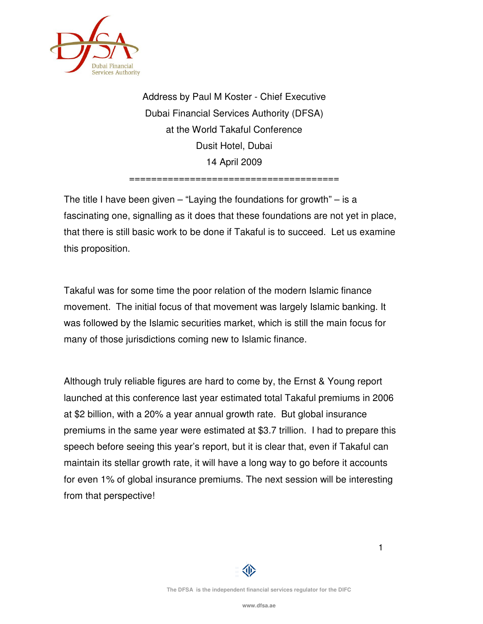

Address by Paul M Koster - Chief Executive Dubai Financial Services Authority (DFSA) at the World Takaful Conference Dusit Hotel, Dubai 14 April 2009

======================================

The title I have been given  $-$  "Laying the foundations for growth"  $-$  is a fascinating one, signalling as it does that these foundations are not yet in place, that there is still basic work to be done if Takaful is to succeed. Let us examine this proposition.

Takaful was for some time the poor relation of the modern Islamic finance movement. The initial focus of that movement was largely Islamic banking. It was followed by the Islamic securities market, which is still the main focus for many of those jurisdictions coming new to Islamic finance.

Although truly reliable figures are hard to come by, the Ernst & Young report launched at this conference last year estimated total Takaful premiums in 2006 at \$2 billion, with a 20% a year annual growth rate. But global insurance premiums in the same year were estimated at \$3.7 trillion. I had to prepare this speech before seeing this year's report, but it is clear that, even if Takaful can maintain its stellar growth rate, it will have a long way to go before it accounts for even 1% of global insurance premiums. The next session will be interesting from that perspective!



1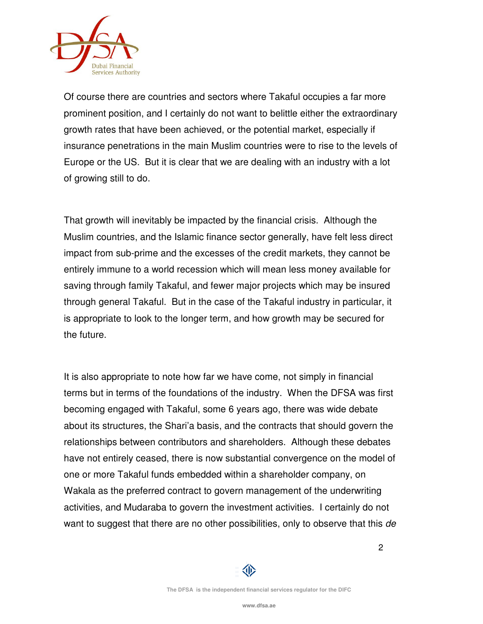

Of course there are countries and sectors where Takaful occupies a far more prominent position, and I certainly do not want to belittle either the extraordinary growth rates that have been achieved, or the potential market, especially if insurance penetrations in the main Muslim countries were to rise to the levels of Europe or the US. But it is clear that we are dealing with an industry with a lot of growing still to do.

That growth will inevitably be impacted by the financial crisis. Although the Muslim countries, and the Islamic finance sector generally, have felt less direct impact from sub-prime and the excesses of the credit markets, they cannot be entirely immune to a world recession which will mean less money available for saving through family Takaful, and fewer major projects which may be insured through general Takaful. But in the case of the Takaful industry in particular, it is appropriate to look to the longer term, and how growth may be secured for the future.

It is also appropriate to note how far we have come, not simply in financial terms but in terms of the foundations of the industry. When the DFSA was first becoming engaged with Takaful, some 6 years ago, there was wide debate about its structures, the Shari'a basis, and the contracts that should govern the relationships between contributors and shareholders. Although these debates have not entirely ceased, there is now substantial convergence on the model of one or more Takaful funds embedded within a shareholder company, on Wakala as the preferred contract to govern management of the underwriting activities, and Mudaraba to govern the investment activities. I certainly do not want to suggest that there are no other possibilities, only to observe that this de



2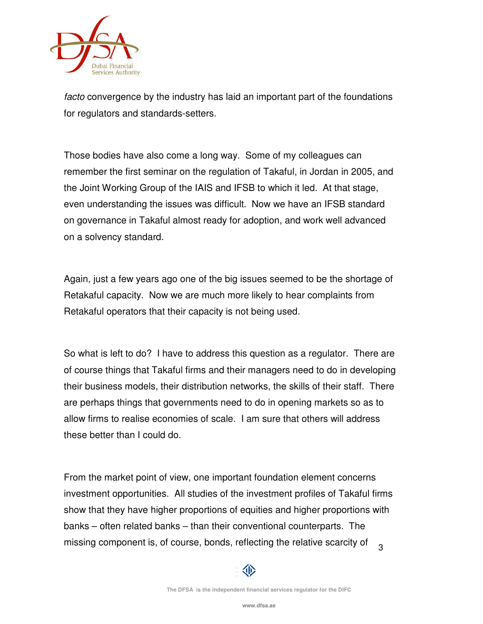

facto convergence by the industry has laid an important part of the foundations for regulators and standards-setters.

Those bodies have also come a long way. Some of my colleagues can remember the first seminar on the regulation of Takaful, in Jordan in 2005, and the Joint Working Group of the IAIS and IFSB to which it led. At that stage, even understanding the issues was difficult. Now we have an IFSB standard on governance in Takaful almost ready for adoption, and work well advanced on a solvency standard.

Again, just a few years ago one of the big issues seemed to be the shortage of Retakaful capacity. Now we are much more likely to hear complaints from Retakaful operators that their capacity is not being used.

So what is left to do? I have to address this question as a regulator. There are of course things that Takaful firms and their managers need to do in developing their business models, their distribution networks, the skills of their staff. There are perhaps things that governments need to do in opening markets so as to allow firms to realise economies of scale. I am sure that others will address these better than I could do.

3 From the market point of view, one important foundation element concerns investment opportunities. All studies of the investment profiles of Takaful firms show that they have higher proportions of equities and higher proportions with banks – often related banks – than their conventional counterparts. The missing component is, of course, bonds, reflecting the relative scarcity of

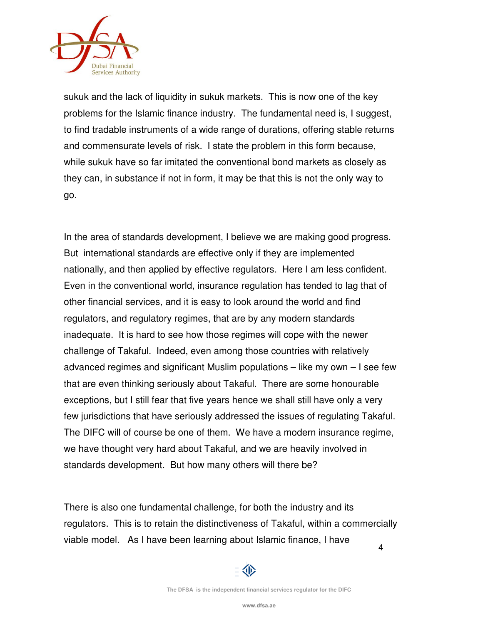

sukuk and the lack of liquidity in sukuk markets. This is now one of the key problems for the Islamic finance industry. The fundamental need is, I suggest, to find tradable instruments of a wide range of durations, offering stable returns and commensurate levels of risk. I state the problem in this form because, while sukuk have so far imitated the conventional bond markets as closely as they can, in substance if not in form, it may be that this is not the only way to go.

In the area of standards development, I believe we are making good progress. But international standards are effective only if they are implemented nationally, and then applied by effective regulators. Here I am less confident. Even in the conventional world, insurance regulation has tended to lag that of other financial services, and it is easy to look around the world and find regulators, and regulatory regimes, that are by any modern standards inadequate. It is hard to see how those regimes will cope with the newer challenge of Takaful. Indeed, even among those countries with relatively advanced regimes and significant Muslim populations – like my own – I see few that are even thinking seriously about Takaful. There are some honourable exceptions, but I still fear that five years hence we shall still have only a very few jurisdictions that have seriously addressed the issues of regulating Takaful. The DIFC will of course be one of them. We have a modern insurance regime, we have thought very hard about Takaful, and we are heavily involved in standards development. But how many others will there be?

4 There is also one fundamental challenge, for both the industry and its regulators. This is to retain the distinctiveness of Takaful, within a commercially viable model. As I have been learning about Islamic finance, I have